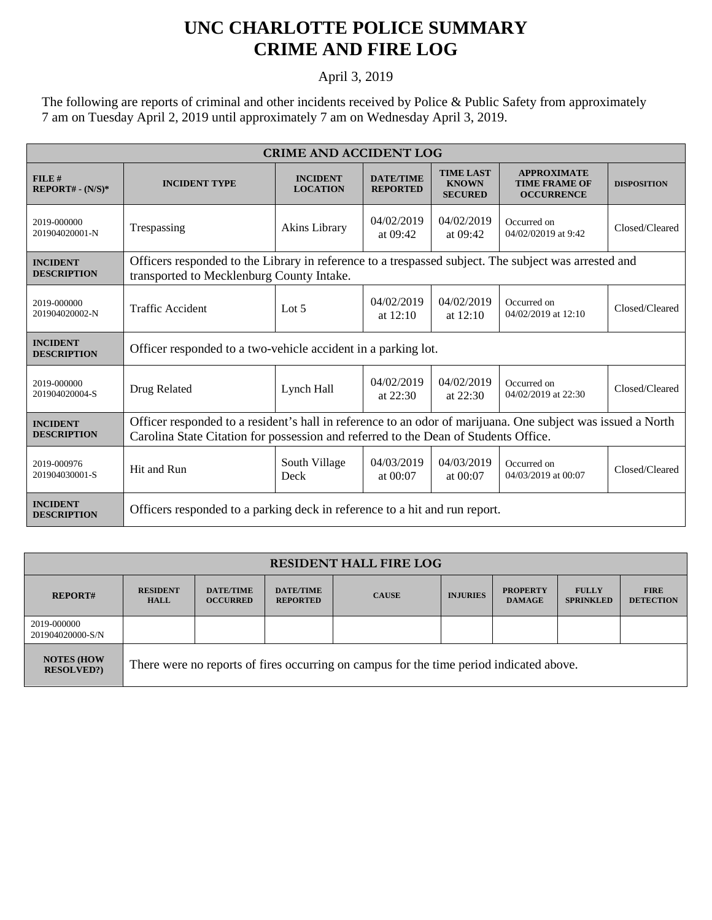## **UNC CHARLOTTE POLICE SUMMARY CRIME AND FIRE LOG**

April 3, 2019

The following are reports of criminal and other incidents received by Police & Public Safety from approximately 7 am on Tuesday April 2, 2019 until approximately 7 am on Wednesday April 3, 2019.

| <b>CRIME AND ACCIDENT LOG</b>         |                                                                                                                                                                                                    |                                    |                                     |                                                    |                                                                 |                    |  |
|---------------------------------------|----------------------------------------------------------------------------------------------------------------------------------------------------------------------------------------------------|------------------------------------|-------------------------------------|----------------------------------------------------|-----------------------------------------------------------------|--------------------|--|
| FILE#<br>$REPORT# - (N/S)*$           | <b>INCIDENT TYPE</b>                                                                                                                                                                               | <b>INCIDENT</b><br><b>LOCATION</b> | <b>DATE/TIME</b><br><b>REPORTED</b> | <b>TIME LAST</b><br><b>KNOWN</b><br><b>SECURED</b> | <b>APPROXIMATE</b><br><b>TIME FRAME OF</b><br><b>OCCURRENCE</b> | <b>DISPOSITION</b> |  |
| 2019-000000<br>201904020001-N         | Trespassing                                                                                                                                                                                        | Akins Library                      | 04/02/2019<br>at $09:42$            | 04/02/2019<br>at $09:42$                           | Occurred on<br>04/02/02019 at 9:42                              | Closed/Cleared     |  |
| <b>INCIDENT</b><br><b>DESCRIPTION</b> | Officers responded to the Library in reference to a trespassed subject. The subject was arrested and<br>transported to Mecklenburg County Intake.                                                  |                                    |                                     |                                                    |                                                                 |                    |  |
| 2019-000000<br>201904020002-N         | <b>Traffic Accident</b>                                                                                                                                                                            | Lot $5$                            | 04/02/2019<br>at $12:10$            | 04/02/2019<br>at $12:10$                           | Occurred on<br>04/02/2019 at 12:10                              | Closed/Cleared     |  |
| <b>INCIDENT</b><br><b>DESCRIPTION</b> | Officer responded to a two-vehicle accident in a parking lot.                                                                                                                                      |                                    |                                     |                                                    |                                                                 |                    |  |
| 2019-000000<br>201904020004-S         | Drug Related                                                                                                                                                                                       | Lynch Hall                         | 04/02/2019<br>at $22:30$            | 04/02/2019<br>at $22:30$                           | Occurred on<br>04/02/2019 at 22:30                              | Closed/Cleared     |  |
| <b>INCIDENT</b><br><b>DESCRIPTION</b> | Officer responded to a resident's hall in reference to an odor of marijuana. One subject was issued a North<br>Carolina State Citation for possession and referred to the Dean of Students Office. |                                    |                                     |                                                    |                                                                 |                    |  |
| 2019-000976<br>201904030001-S         | Hit and Run                                                                                                                                                                                        | South Village<br>Deck              | 04/03/2019<br>at $00:07$            | 04/03/2019<br>at $00:07$                           | Occurred on<br>04/03/2019 at 00:07                              | Closed/Cleared     |  |
| <b>INCIDENT</b><br><b>DESCRIPTION</b> | Officers responded to a parking deck in reference to a hit and run report.                                                                                                                         |                                    |                                     |                                                    |                                                                 |                    |  |

| <b>RESIDENT HALL FIRE LOG</b>          |                                                                                         |                                     |                                     |              |                 |                                  |                                  |                                 |
|----------------------------------------|-----------------------------------------------------------------------------------------|-------------------------------------|-------------------------------------|--------------|-----------------|----------------------------------|----------------------------------|---------------------------------|
| <b>REPORT#</b>                         | <b>RESIDENT</b><br><b>HALL</b>                                                          | <b>DATE/TIME</b><br><b>OCCURRED</b> | <b>DATE/TIME</b><br><b>REPORTED</b> | <b>CAUSE</b> | <b>INJURIES</b> | <b>PROPERTY</b><br><b>DAMAGE</b> | <b>FULLY</b><br><b>SPRINKLED</b> | <b>FIRE</b><br><b>DETECTION</b> |
| 2019-000000<br>201904020000-S/N        |                                                                                         |                                     |                                     |              |                 |                                  |                                  |                                 |
| <b>NOTES (HOW</b><br><b>RESOLVED?)</b> | There were no reports of fires occurring on campus for the time period indicated above. |                                     |                                     |              |                 |                                  |                                  |                                 |